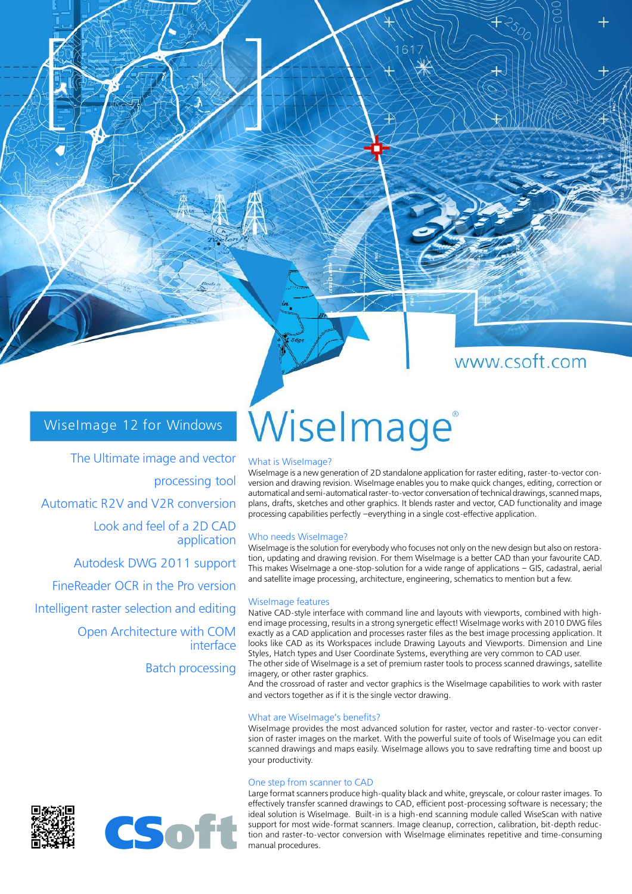## www.csoft.com

## WiseImage 12 for Windows

The Ultimate image and vector processing tool Automatic R2V and V2R conversion Look and feel of a 2D CAD application

Autodesk DWG 2011 support FineReader OCR in the Pro version Intelligent raster selection and editing Open Architecture with COM interface Batch processing

# Wiselmage®

#### What is WiseImage?

WiseImage is a new generation of 2D standalone application for raster editing, raster-to-vector conversion and drawing revision. WiseImage enables you to make quick changes, editing, correction or automatical and semi-automatical raster-to-vector conversation of technical drawings, scanned maps, plans, drafts, sketches and other graphics. It blends raster and vector, CAD functionality and image processing capabilities perfectly –everything in a single cost-effective application.

#### Who needs WiseImage?

WiseImage is the solution for everybody who focuses not only on the new design but also on restoration, updating and drawing revision. For them WiseImage is a better CAD than your favourite CAD. This makes WiseImage a one-stop-solution for a wide range of applications – GIS, cadastral, aerial and satellite image processing, architecture, engineering, schematics to mention but a few.

#### WiseImage features

Native CAD-style interface with command line and layouts with viewports, combined with highend image processing, results in a strong synergetic effect! WiseImage works with 2010 DWG files exactly as a CAD application and processes raster files as the best image processing application. It looks like CAD as its Workspaces include Drawing Layouts and Viewports. Dimension and Line Styles, Hatch types and User Coordinate Systems, everything are very common to CAD user. The other side of WiseImage is a set of premium raster tools to process scanned drawings, satellite imagery, or other raster graphics.

And the crossroad of raster and vector graphics is the WiseImage capabilities to work with raster and vectors together as if it is the single vector drawing.

#### What are WiseImage's benefits?

WiseImage provides the most advanced solution for raster, vector and raster-to-vector conversion of raster images on the market. With the powerful suite of tools of WiseImage you can edit scanned drawings and maps easily. WiseImage allows you to save redrafting time and boost up your productivity.

#### One step from scanner to CAD

Large format scanners produce high-quality black and white, greyscale, or colour raster images. To effectively transfer scanned drawings to CAD, efficient post-processing software is necessary; the ideal solution is WiseImage. Built-in is a high-end scanning module called WiseScan with native support for most wide-format scanners. Image cleanup, correction, calibration, bit-depth reduction and raster-to-vector conversion with WiseImage eliminates repetitive and time-consuming manual procedures.